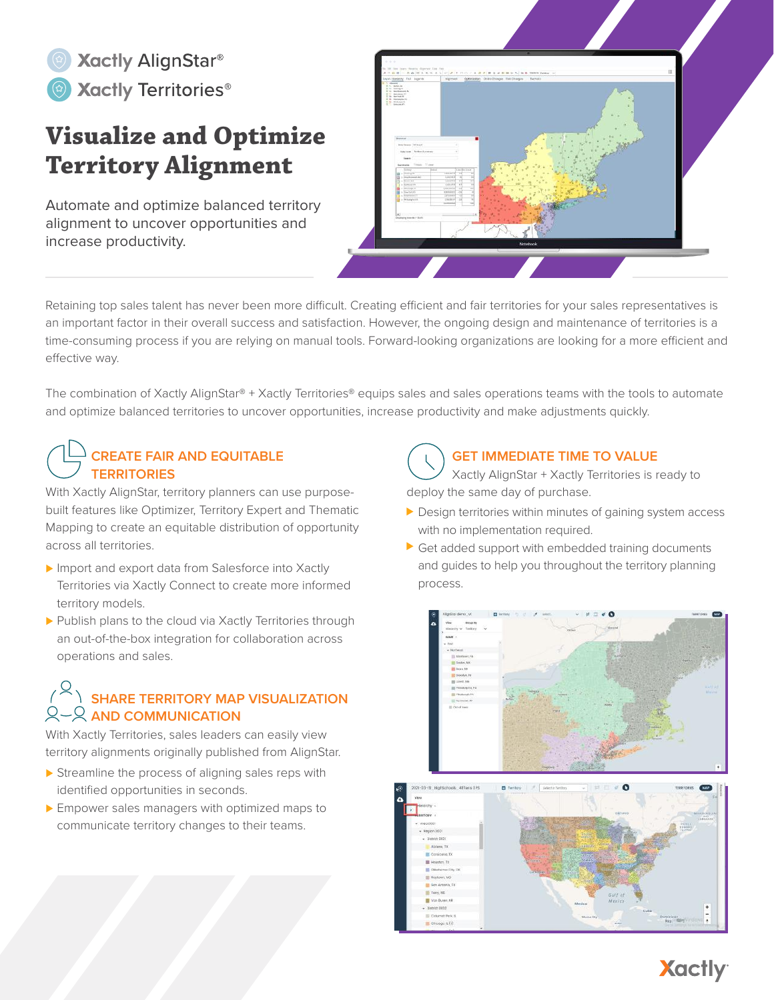

# **Visualize and Optimize Territory Alignment**

Automate and optimize balanced territory alignment to uncover opportunities and increase productivity.



Retaining top sales talent has never been more difficult. Creating efficient and fair territories for your sales representatives is an important factor in their overall success and satisfaction. However, the ongoing design and maintenance of territories is a time-consuming process if you are relying on manual tools. Forward-looking organizations are looking for a more efficient and effective way.

The combination of Xactly AlignStar® + Xactly Territories® equips sales and sales operations teams with the tools to automate and optimize balanced territories to uncover opportunities, increase productivity and make adjustments quickly.

## **CREATE FAIR AND EQUITABLE TERRITORIES**

With Xactly AlignStar, territory planners can use purposebuilt features like Optimizer, Territory Expert and Thematic Mapping to create an equitable distribution of opportunity across all territories.

- Import and export data from Salesforce into Xactly Territories via Xactly Connect to create more informed territory models.
- ▶ Publish plans to the cloud via Xactly Territories through an out-of-the-box integration for collaboration across operations and sales.

## **SHARE TERRITORY MAP VISUALIZATION AND COMMUNICATION**

With Xactly Territories, sales leaders can easily view territory alignments originally published from AlignStar.

- Streamline the process of aligning sales reps with identified opportunities in seconds.
- **Empower sales managers with optimized maps to** communicate territory changes to their teams.

#### **GET IMMEDIATE TIME TO VALUE**

Xactly AlignStar + Xactly Territories is ready to deploy the same day of purchase.

- Design territories within minutes of gaining system access with no implementation required.
- Get added support with embedded training documents and guides to help you throughout the territory planning process.